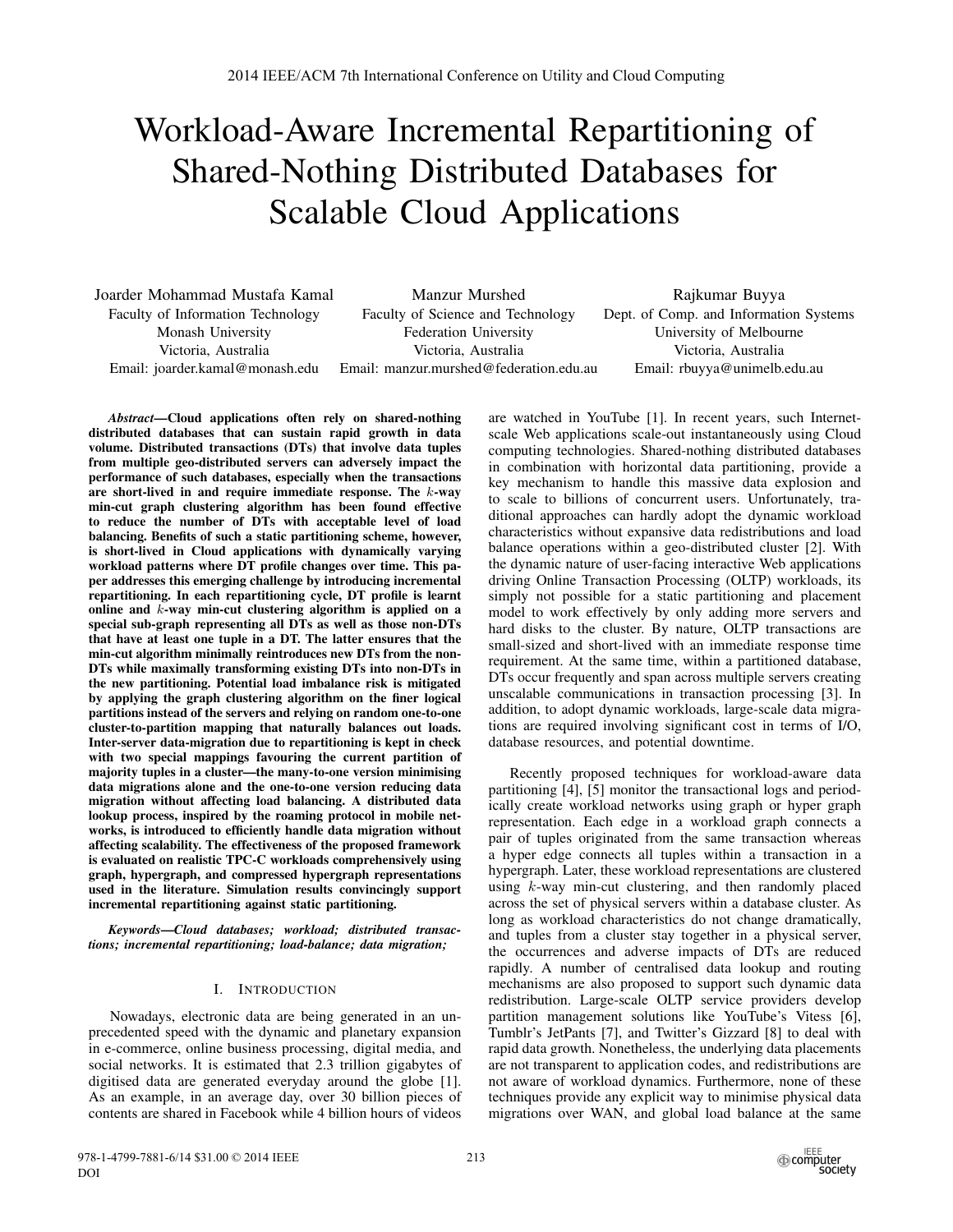# Workload-Aware Incremental Repartitioning of Shared-Nothing Distributed Databases for Scalable Cloud Applications

Joarder Mohammad Mustafa Kamal Faculty of Information Technology Monash University Victoria, Australia Email: joarder.kamal@monash.edu

Manzur Murshed Faculty of Science and Technology Federation University Victoria, Australia Email: manzur.murshed@federation.edu.au

Rajkumar Buyya Dept. of Comp. and Information Systems University of Melbourne Victoria, Australia Email: rbuyya@unimelb.edu.au

*Abstract*—Cloud applications often rely on shared-nothing distributed databases that can sustain rapid growth in data volume. Distributed transactions (DTs) that involve data tuples from multiple geo-distributed servers can adversely impact the performance of such databases, especially when the transactions are short-lived in and require immediate response. The k-way min-cut graph clustering algorithm has been found effective to reduce the number of DTs with acceptable level of load balancing. Benefits of such a static partitioning scheme, however, is short-lived in Cloud applications with dynamically varying workload patterns where DT profile changes over time. This paper addresses this emerging challenge by introducing incremental repartitioning. In each repartitioning cycle, DT profile is learnt online and  $k$ -way min-cut clustering algorithm is applied on a special sub-graph representing all DTs as well as those non-DTs that have at least one tuple in a DT. The latter ensures that the min-cut algorithm minimally reintroduces new DTs from the non-DTs while maximally transforming existing DTs into non-DTs in the new partitioning. Potential load imbalance risk is mitigated by applying the graph clustering algorithm on the finer logical partitions instead of the servers and relying on random one-to-one cluster-to-partition mapping that naturally balances out loads. Inter-server data-migration due to repartitioning is kept in check with two special mappings favouring the current partition of majority tuples in a cluster—the many-to-one version minimising data migrations alone and the one-to-one version reducing data migration without affecting load balancing. A distributed data lookup process, inspired by the roaming protocol in mobile networks, is introduced to efficiently handle data migration without affecting scalability. The effectiveness of the proposed framework is evaluated on realistic TPC-C workloads comprehensively using graph, hypergraph, and compressed hypergraph representations used in the literature. Simulation results convincingly support incremental repartitioning against static partitioning.

*Keywords*—*Cloud databases; workload; distributed transactions; incremental repartitioning; load-balance; data migration;*

## I. INTRODUCTION

Nowadays, electronic data are being generated in an unprecedented speed with the dynamic and planetary expansion in e-commerce, online business processing, digital media, and social networks. It is estimated that 2.3 trillion gigabytes of digitised data are generated everyday around the globe [1]. As an example, in an average day, over 30 billion pieces of contents are shared in Facebook while 4 billion hours of videos

are watched in YouTube [1]. In recent years, such Internetscale Web applications scale-out instantaneously using Cloud computing technologies. Shared-nothing distributed databases in combination with horizontal data partitioning, provide a key mechanism to handle this massive data explosion and to scale to billions of concurrent users. Unfortunately, traditional approaches can hardly adopt the dynamic workload characteristics without expansive data redistributions and load balance operations within a geo-distributed cluster [2]. With the dynamic nature of user-facing interactive Web applications driving Online Transaction Processing (OLTP) workloads, its simply not possible for a static partitioning and placement model to work effectively by only adding more servers and hard disks to the cluster. By nature, OLTP transactions are small-sized and short-lived with an immediate response time requirement. At the same time, within a partitioned database, DTs occur frequently and span across multiple servers creating unscalable communications in transaction processing [3]. In addition, to adopt dynamic workloads, large-scale data migrations are required involving significant cost in terms of I/O, database resources, and potential downtime.

Recently proposed techniques for workload-aware data partitioning [4], [5] monitor the transactional logs and periodically create workload networks using graph or hyper graph representation. Each edge in a workload graph connects a pair of tuples originated from the same transaction whereas a hyper edge connects all tuples within a transaction in a hypergraph. Later, these workload representations are clustered using k-way min-cut clustering, and then randomly placed across the set of physical servers within a database cluster. As long as workload characteristics do not change dramatically, and tuples from a cluster stay together in a physical server, the occurrences and adverse impacts of DTs are reduced rapidly. A number of centralised data lookup and routing mechanisms are also proposed to support such dynamic data redistribution. Large-scale OLTP service providers develop partition management solutions like YouTube's Vitess [6], Tumblr's JetPants [7], and Twitter's Gizzard [8] to deal with rapid data growth. Nonetheless, the underlying data placements are not transparent to application codes, and redistributions are not aware of workload dynamics. Furthermore, none of these techniques provide any explicit way to minimise physical data migrations over WAN, and global load balance at the same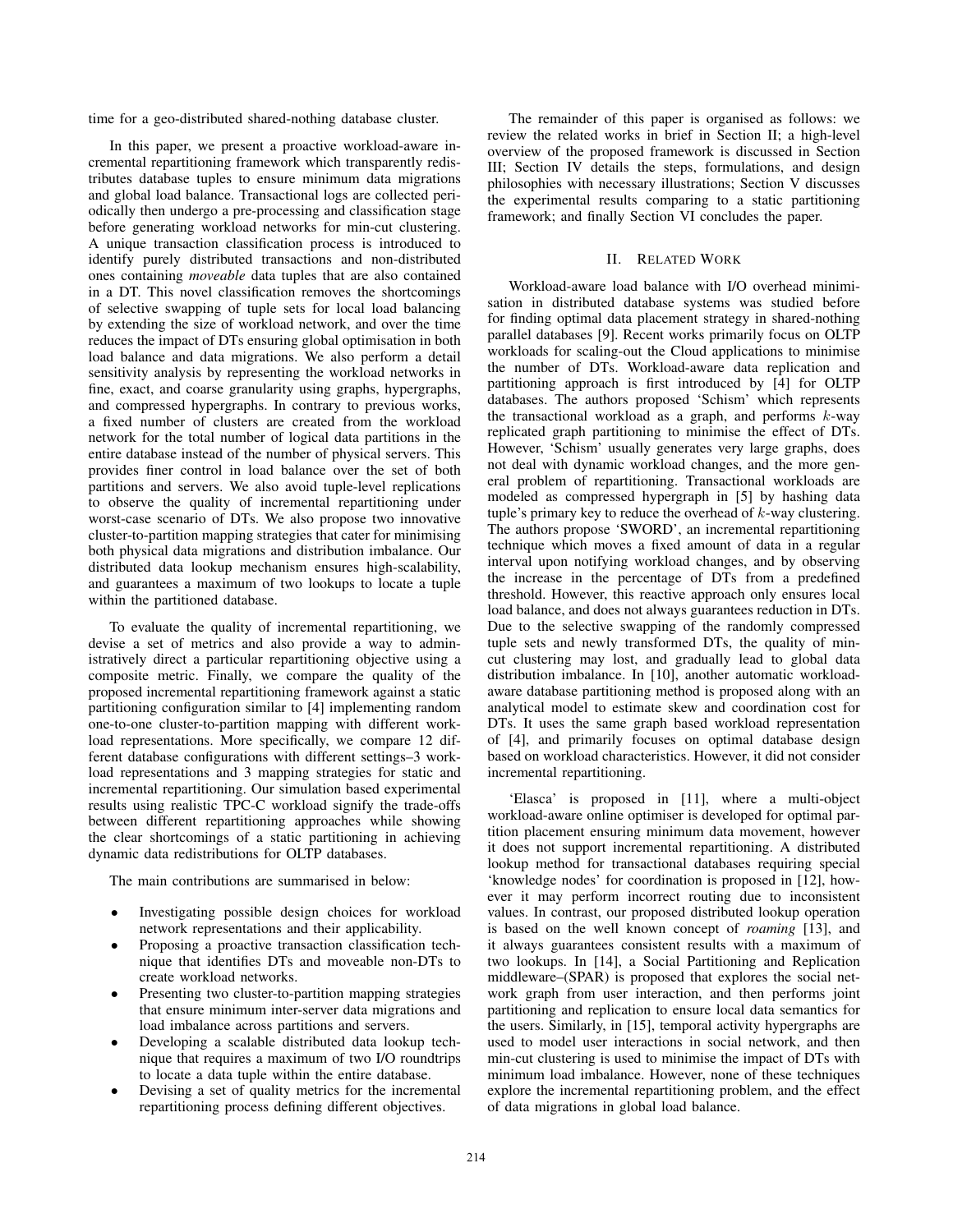time for a geo-distributed shared-nothing database cluster.

In this paper, we present a proactive workload-aware incremental repartitioning framework which transparently redistributes database tuples to ensure minimum data migrations and global load balance. Transactional logs are collected periodically then undergo a pre-processing and classification stage before generating workload networks for min-cut clustering. A unique transaction classification process is introduced to identify purely distributed transactions and non-distributed ones containing *moveable* data tuples that are also contained in a DT. This novel classification removes the shortcomings of selective swapping of tuple sets for local load balancing by extending the size of workload network, and over the time reduces the impact of DTs ensuring global optimisation in both load balance and data migrations. We also perform a detail sensitivity analysis by representing the workload networks in fine, exact, and coarse granularity using graphs, hypergraphs, and compressed hypergraphs. In contrary to previous works, a fixed number of clusters are created from the workload network for the total number of logical data partitions in the entire database instead of the number of physical servers. This provides finer control in load balance over the set of both partitions and servers. We also avoid tuple-level replications to observe the quality of incremental repartitioning under worst-case scenario of DTs. We also propose two innovative cluster-to-partition mapping strategies that cater for minimising both physical data migrations and distribution imbalance. Our distributed data lookup mechanism ensures high-scalability, and guarantees a maximum of two lookups to locate a tuple within the partitioned database.

To evaluate the quality of incremental repartitioning, we devise a set of metrics and also provide a way to administratively direct a particular repartitioning objective using a composite metric. Finally, we compare the quality of the proposed incremental repartitioning framework against a static partitioning configuration similar to [4] implementing random one-to-one cluster-to-partition mapping with different workload representations. More specifically, we compare 12 different database configurations with different settings–3 workload representations and 3 mapping strategies for static and incremental repartitioning. Our simulation based experimental results using realistic TPC-C workload signify the trade-offs between different repartitioning approaches while showing the clear shortcomings of a static partitioning in achieving dynamic data redistributions for OLTP databases.

The main contributions are summarised in below:

- Investigating possible design choices for workload network representations and their applicability.
- Proposing a proactive transaction classification technique that identifies DTs and moveable non-DTs to create workload networks.
- Presenting two cluster-to-partition mapping strategies that ensure minimum inter-server data migrations and load imbalance across partitions and servers.
- Developing a scalable distributed data lookup technique that requires a maximum of two I/O roundtrips to locate a data tuple within the entire database.
- Devising a set of quality metrics for the incremental repartitioning process defining different objectives.

The remainder of this paper is organised as follows: we review the related works in brief in Section II; a high-level overview of the proposed framework is discussed in Section III; Section IV details the steps, formulations, and design philosophies with necessary illustrations; Section V discusses the experimental results comparing to a static partitioning framework; and finally Section VI concludes the paper.

# II. RELATED WORK

Workload-aware load balance with I/O overhead minimisation in distributed database systems was studied before for finding optimal data placement strategy in shared-nothing parallel databases [9]. Recent works primarily focus on OLTP workloads for scaling-out the Cloud applications to minimise the number of DTs. Workload-aware data replication and partitioning approach is first introduced by [4] for OLTP databases. The authors proposed 'Schism' which represents the transactional workload as a graph, and performs  $k$ -way replicated graph partitioning to minimise the effect of DTs. However, 'Schism' usually generates very large graphs, does not deal with dynamic workload changes, and the more general problem of repartitioning. Transactional workloads are modeled as compressed hypergraph in [5] by hashing data tuple's primary key to reduce the overhead of  $k$ -way clustering. The authors propose 'SWORD', an incremental repartitioning technique which moves a fixed amount of data in a regular interval upon notifying workload changes, and by observing the increase in the percentage of DTs from a predefined threshold. However, this reactive approach only ensures local load balance, and does not always guarantees reduction in DTs. Due to the selective swapping of the randomly compressed tuple sets and newly transformed DTs, the quality of mincut clustering may lost, and gradually lead to global data distribution imbalance. In [10], another automatic workloadaware database partitioning method is proposed along with an analytical model to estimate skew and coordination cost for DTs. It uses the same graph based workload representation of [4], and primarily focuses on optimal database design based on workload characteristics. However, it did not consider incremental repartitioning.

'Elasca' is proposed in [11], where a multi-object workload-aware online optimiser is developed for optimal partition placement ensuring minimum data movement, however it does not support incremental repartitioning. A distributed lookup method for transactional databases requiring special 'knowledge nodes' for coordination is proposed in [12], however it may perform incorrect routing due to inconsistent values. In contrast, our proposed distributed lookup operation is based on the well known concept of *roaming* [13], and it always guarantees consistent results with a maximum of two lookups. In [14], a Social Partitioning and Replication middleware–(SPAR) is proposed that explores the social network graph from user interaction, and then performs joint partitioning and replication to ensure local data semantics for the users. Similarly, in [15], temporal activity hypergraphs are used to model user interactions in social network, and then min-cut clustering is used to minimise the impact of DTs with minimum load imbalance. However, none of these techniques explore the incremental repartitioning problem, and the effect of data migrations in global load balance.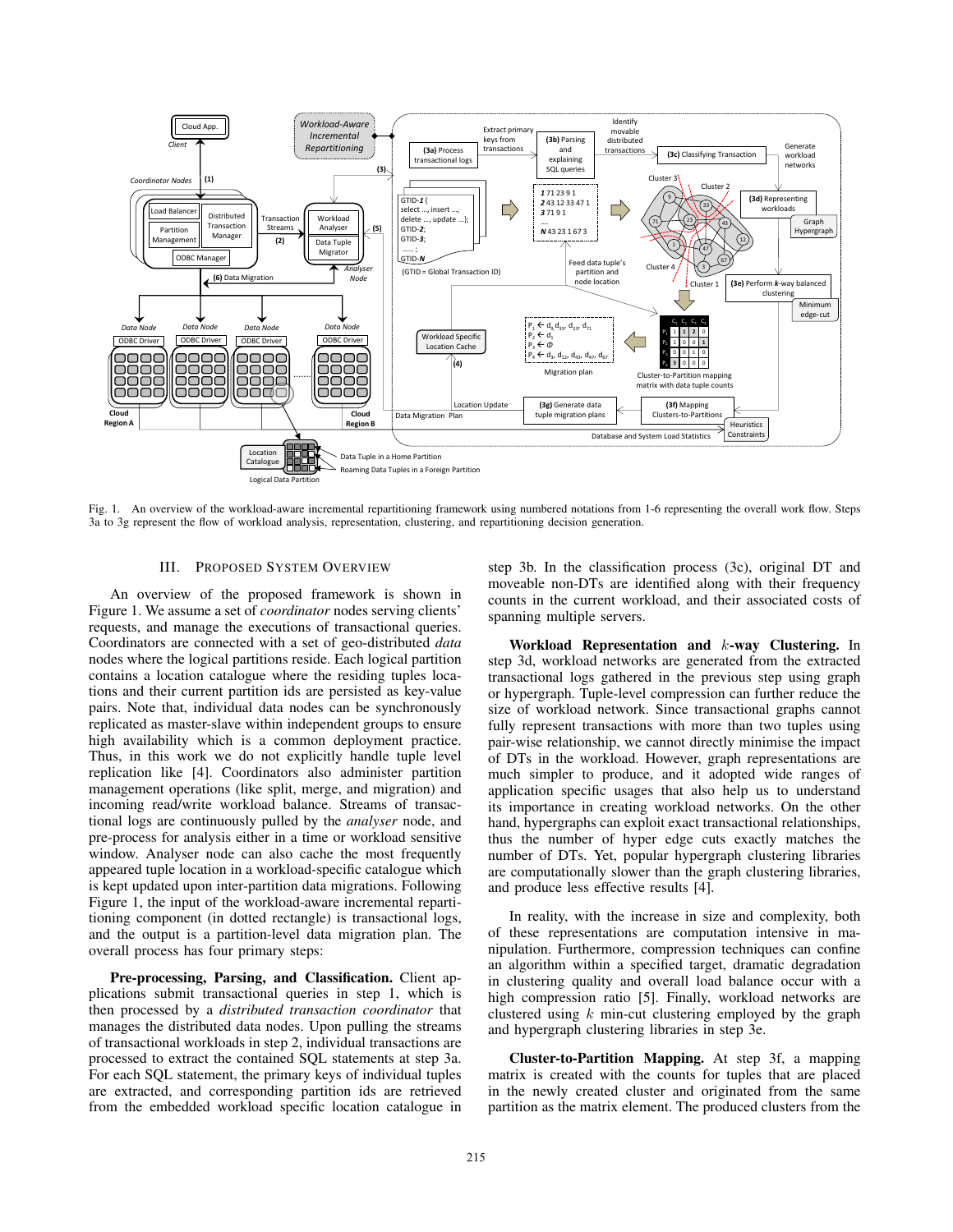

Fig. 1. An overview of the workload-aware incremental repartitioning framework using numbered notations from 1-6 representing the overall work flow. Steps 3a to 3g represent the flow of workload analysis, representation, clustering, and repartitioning decision generation.

# III. PROPOSED SYSTEM OVERVIEW

An overview of the proposed framework is shown in Figure 1. We assume a set of *coordinator* nodes serving clients' requests, and manage the executions of transactional queries. Coordinators are connected with a set of geo-distributed *data* nodes where the logical partitions reside. Each logical partition contains a location catalogue where the residing tuples locations and their current partition ids are persisted as key-value pairs. Note that, individual data nodes can be synchronously replicated as master-slave within independent groups to ensure high availability which is a common deployment practice. Thus, in this work we do not explicitly handle tuple level replication like [4]. Coordinators also administer partition management operations (like split, merge, and migration) and incoming read/write workload balance. Streams of transactional logs are continuously pulled by the *analyser* node, and pre-process for analysis either in a time or workload sensitive window. Analyser node can also cache the most frequently appeared tuple location in a workload-specific catalogue which is kept updated upon inter-partition data migrations. Following Figure 1, the input of the workload-aware incremental repartitioning component (in dotted rectangle) is transactional logs, and the output is a partition-level data migration plan. The overall process has four primary steps:

Pre-processing, Parsing, and Classification. Client applications submit transactional queries in step 1, which is then processed by a *distributed transaction coordinator* that manages the distributed data nodes. Upon pulling the streams of transactional workloads in step 2, individual transactions are processed to extract the contained SQL statements at step 3a. For each SQL statement, the primary keys of individual tuples are extracted, and corresponding partition ids are retrieved from the embedded workload specific location catalogue in step 3b. In the classification process (3c), original DT and moveable non-DTs are identified along with their frequency counts in the current workload, and their associated costs of spanning multiple servers.

Workload Representation and k-way Clustering. In step 3d, workload networks are generated from the extracted transactional logs gathered in the previous step using graph or hypergraph. Tuple-level compression can further reduce the size of workload network. Since transactional graphs cannot fully represent transactions with more than two tuples using pair-wise relationship, we cannot directly minimise the impact of DTs in the workload. However, graph representations are much simpler to produce, and it adopted wide ranges of application specific usages that also help us to understand its importance in creating workload networks. On the other hand, hypergraphs can exploit exact transactional relationships, thus the number of hyper edge cuts exactly matches the number of DTs. Yet, popular hypergraph clustering libraries are computationally slower than the graph clustering libraries, and produce less effective results [4].

In reality, with the increase in size and complexity, both of these representations are computation intensive in manipulation. Furthermore, compression techniques can confine an algorithm within a specified target, dramatic degradation in clustering quality and overall load balance occur with a high compression ratio [5]. Finally, workload networks are clustered using  $k$  min-cut clustering employed by the graph and hypergraph clustering libraries in step 3e.

Cluster-to-Partition Mapping. At step 3f, a mapping matrix is created with the counts for tuples that are placed in the newly created cluster and originated from the same partition as the matrix element. The produced clusters from the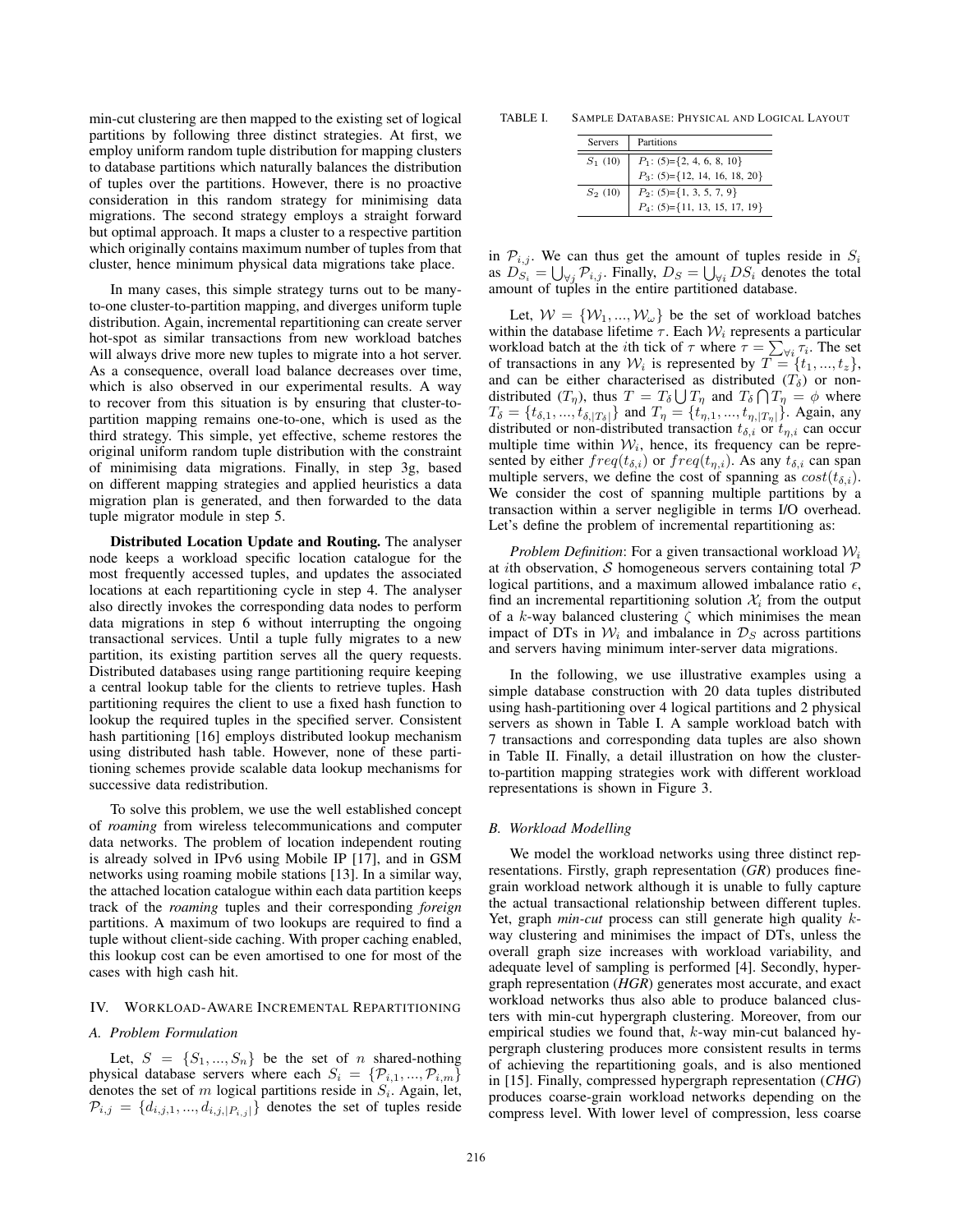min-cut clustering are then mapped to the existing set of logical partitions by following three distinct strategies. At first, we employ uniform random tuple distribution for mapping clusters to database partitions which naturally balances the distribution of tuples over the partitions. However, there is no proactive consideration in this random strategy for minimising data migrations. The second strategy employs a straight forward but optimal approach. It maps a cluster to a respective partition which originally contains maximum number of tuples from that cluster, hence minimum physical data migrations take place.

In many cases, this simple strategy turns out to be manyto-one cluster-to-partition mapping, and diverges uniform tuple distribution. Again, incremental repartitioning can create server hot-spot as similar transactions from new workload batches will always drive more new tuples to migrate into a hot server. As a consequence, overall load balance decreases over time, which is also observed in our experimental results. A way to recover from this situation is by ensuring that cluster-topartition mapping remains one-to-one, which is used as the third strategy. This simple, yet effective, scheme restores the original uniform random tuple distribution with the constraint of minimising data migrations. Finally, in step 3g, based on different mapping strategies and applied heuristics a data migration plan is generated, and then forwarded to the data tuple migrator module in step 5.

Distributed Location Update and Routing. The analyser node keeps a workload specific location catalogue for the most frequently accessed tuples, and updates the associated locations at each repartitioning cycle in step 4. The analyser also directly invokes the corresponding data nodes to perform data migrations in step 6 without interrupting the ongoing transactional services. Until a tuple fully migrates to a new partition, its existing partition serves all the query requests. Distributed databases using range partitioning require keeping a central lookup table for the clients to retrieve tuples. Hash partitioning requires the client to use a fixed hash function to lookup the required tuples in the specified server. Consistent hash partitioning [16] employs distributed lookup mechanism using distributed hash table. However, none of these partitioning schemes provide scalable data lookup mechanisms for successive data redistribution.

To solve this problem, we use the well established concept of *roaming* from wireless telecommunications and computer data networks. The problem of location independent routing is already solved in IPv6 using Mobile IP [17], and in GSM networks using roaming mobile stations [13]. In a similar way, the attached location catalogue within each data partition keeps track of the *roaming* tuples and their corresponding *foreign* partitions. A maximum of two lookups are required to find a tuple without client-side caching. With proper caching enabled, this lookup cost can be even amortised to one for most of the cases with high cash hit.

# IV. WORKLOAD-AWARE INCREMENTAL REPARTITIONING

## *A. Problem Formulation*

Let,  $S = \{S_1, ..., S_n\}$  be the set of n shared-nothing physical database servers where each  $S_i = \{P_{i,1},...,P_{i,m}\}$ denotes the set of m logical partitions reside in  $S_i$ . Again, let,  $\mathcal{P}_{i,j} = \{d_{i,j,1},...,d_{i,j,|P_{i,j}|}\}\$  denotes the set of tuples reside

TABLE I. SAMPLE DATABASE: PHYSICAL AND LOGICAL LAYOUT

| <b>Servers</b> | Partitions                       |
|----------------|----------------------------------|
| $S_1(10)$      | $P_1$ : (5)={2, 4, 6, 8, 10}     |
|                | $P_3$ : (5)={12, 14, 16, 18, 20} |
| $S_2(10)$      | $P_2$ : (5)={1, 3, 5, 7, 9}      |
|                | $P_4$ : (5)={11, 13, 15, 17, 19} |

in  $\mathcal{P}_{i,j}$ . We can thus get the amount of tuples reside in  $S_i$ as  $D_{S_i}^{\prime\prime} = \bigcup_{\forall j} \mathcal{P}_{i,j}$ . Finally,  $D_S = \bigcup_{\forall i} DS_i$  denotes the total amount of tuples in the entire partitioned database.

Let,  $W = \{W_1, ..., W_\omega\}$  be the set of workload batches within the database lifetime  $\tau$ . Each  $\mathcal{W}_i$  represents a particular workload batch at the *i*th tick of  $\tau$  where  $\tau = \sum_{\forall i} \tau_i$ . The set of transactions in any  $W_i$  is represented by  $T = \{t_1, ..., t_z\},\$ and can be either characterised as distributed  $(T<sub>δ</sub>)$  or nondistributed  $(T_{\eta})$ , thus  $T = T_{\delta} \bigcup T_{\eta}$  and  $T_{\delta} \bigcap T_{\eta} = \phi$  where  $T_{\delta} = \{t_{\delta,1}, ..., t_{\delta,|T_{\delta}|}\}\$ and  $T_{\eta} = \{t_{\eta,1}, ..., t_{\eta,|T_{\eta}|}\}\.$  Again, any distributed or non-distributed transaction  $t_{\delta,i}$  or  $t_{\eta,i}$  can occur multiple time within  $W_i$ , hence, its frequency can be represented by either  $freq(t_{\delta,i})$  or  $freq(t_{\eta,i})$ . As any  $t_{\delta,i}$  can span multiple servers, we define the cost of spanning as  $cost(t_{\delta,i})$ . We consider the cost of spanning multiple partitions by a transaction within a server negligible in terms I/O overhead. Let's define the problem of incremental repartitioning as:

*Problem Definition*: For a given transactional workload  $W_i$ at *i*th observation, S homogeneous servers containing total  $P$ logical partitions, and a maximum allowed imbalance ratio  $\epsilon$ , find an incremental repartitioning solution  $\mathcal{X}_i$  from the output of a k-way balanced clustering  $\zeta$  which minimises the mean impact of DTs in  $W_i$  and imbalance in  $\mathcal{D}_S$  across partitions and servers having minimum inter-server data migrations.

In the following, we use illustrative examples using a simple database construction with 20 data tuples distributed using hash-partitioning over 4 logical partitions and 2 physical servers as shown in Table I. A sample workload batch with 7 transactions and corresponding data tuples are also shown in Table II. Finally, a detail illustration on how the clusterto-partition mapping strategies work with different workload representations is shown in Figure 3.

## *B. Workload Modelling*

We model the workload networks using three distinct representations. Firstly, graph representation (*GR*) produces finegrain workload network although it is unable to fully capture the actual transactional relationship between different tuples. Yet, graph *min-cut* process can still generate high quality kway clustering and minimises the impact of DTs, unless the overall graph size increases with workload variability, and adequate level of sampling is performed [4]. Secondly, hypergraph representation (*HGR*) generates most accurate, and exact workload networks thus also able to produce balanced clusters with min-cut hypergraph clustering. Moreover, from our empirical studies we found that,  $k$ -way min-cut balanced hypergraph clustering produces more consistent results in terms of achieving the repartitioning goals, and is also mentioned in [15]. Finally, compressed hypergraph representation (*CHG*) produces coarse-grain workload networks depending on the compress level. With lower level of compression, less coarse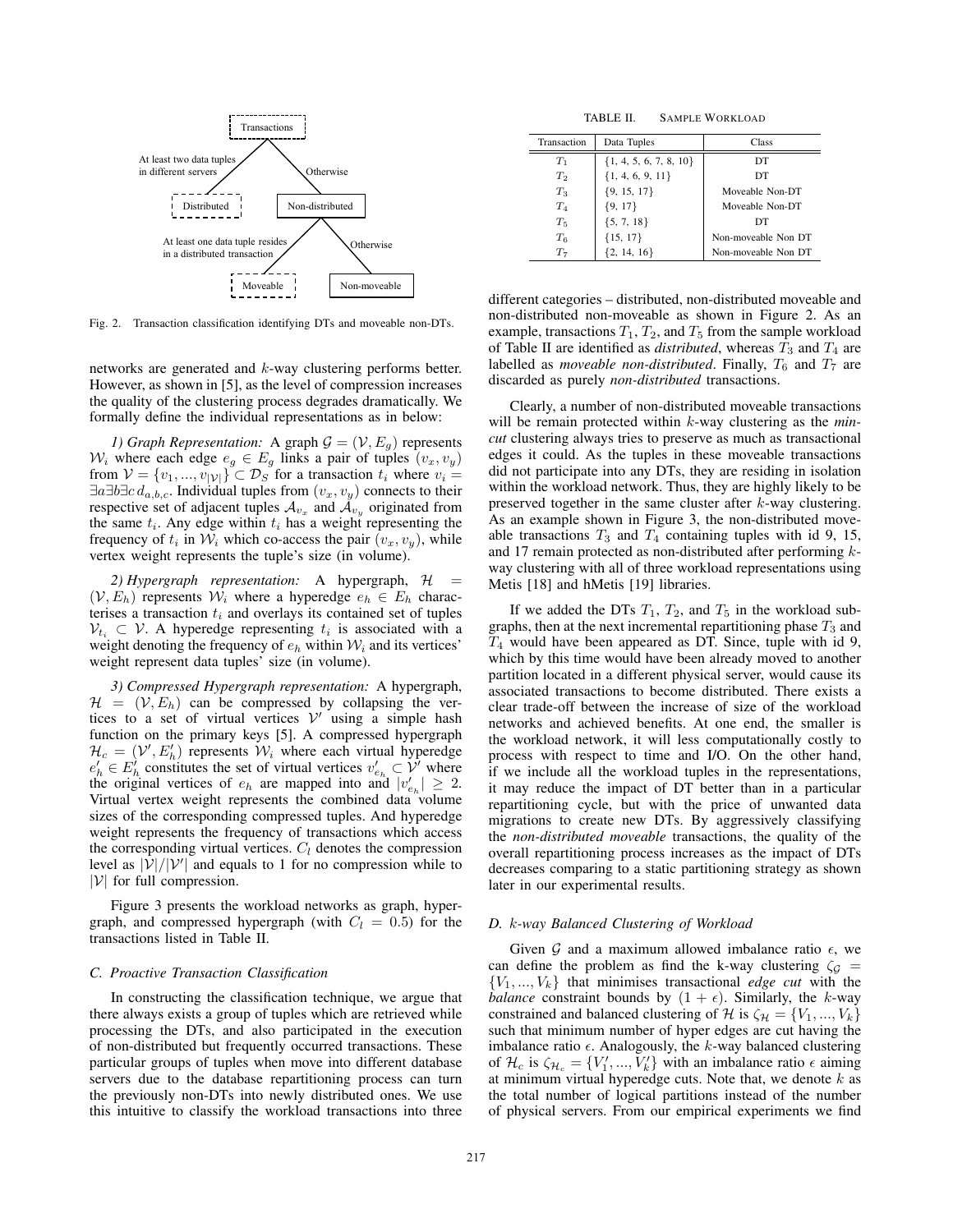

Fig. 2. Transaction classification identifying DTs and moveable non-DTs.

networks are generated and k-way clustering performs better. However, as shown in [5], as the level of compression increases the quality of the clustering process degrades dramatically. We formally define the individual representations as in below:

*1) Graph Representation:* A graph  $G = (V, E_g)$  represents  $W_i$  where each edge  $e_g \in E_g$  links a pair of tuples  $(v_x, v_y)$ from  $V = \{v_1, ..., v_{|V|}\}\subset \mathcal{D}_S$  for a transaction  $t_i$  where  $v_i =$  $\exists a \exists b \exists c \, d_{a,b,c}$ . Individual tuples from  $(v_x, v_y)$  connects to their respective set of adjacent tuples  $A_{v_x}$  and  $A_{v_y}$  originated from the same  $t_i$ . Any edge within  $t_i$  has a weight representing the frequency of  $t_i$  in  $W_i$  which co-access the pair  $(v_x, v_y)$ , while vertex weight represents the tuple's size (in volume).

*2) Hypergraph representation:* A hypergraph, H =  $(V, E_h)$  represents  $W_i$  where a hyperedge  $e_h \in E_h$  characterises a transaction  $t_i$  and overlays its contained set of tuples  $V_{t_i} \subset V$ . A hyperedge representing  $t_i$  is associated with a weight denoting the frequency of  $e_h$  within  $W_i$  and its vertices' weight represent data tuples' size (in volume).

*3) Compressed Hypergraph representation:* A hypergraph,  $\mathcal{H} = (\mathcal{V}, E_h)$  can be compressed by collapsing the vertices to a set of virtual vertices  $V'$  using a simple hash function on the primary keys [5]. A compressed hypergraph  $\mathcal{H}_c = (\mathcal{V}', E'_h)$  represents  $\mathcal{W}_i$  where each virtual hyperedge  $e'_{h} \in E'_{h}$  constitutes the set of virtual vertices  $v'_{e_{h}} \subset V'$  where the original vertices of  $e_h$  are mapped into and  $|v'_{e_h}| \geq 2$ . Virtual vertex weight represents the combined data volume sizes of the corresponding compressed tuples. And hyperedge weight represents the frequency of transactions which access the corresponding virtual vertices.  $C_l$  denotes the compression level as  $|\mathcal{V}|/|\mathcal{V}'|$  and equals to 1 for no compression while to  $|\mathcal{V}|$  for full compression.

Figure 3 presents the workload networks as graph, hypergraph, and compressed hypergraph (with  $C_l = 0.5$ ) for the transactions listed in Table II.

# *C. Proactive Transaction Classification*

In constructing the classification technique, we argue that there always exists a group of tuples which are retrieved while processing the DTs, and also participated in the execution of non-distributed but frequently occurred transactions. These particular groups of tuples when move into different database servers due to the database repartitioning process can turn the previously non-DTs into newly distributed ones. We use this intuitive to classify the workload transactions into three

TABLE II. SAMPLE WORKLOAD

| Transaction | Data Tuples                | Class               |
|-------------|----------------------------|---------------------|
| $T_1$       | $\{1, 4, 5, 6, 7, 8, 10\}$ | DT                  |
| $T_2$       | ${1, 4, 6, 9, 11}$         | DT                  |
| $T_3$       | ${9, 15, 17}$              | Moveable Non-DT     |
| $T_{4}$     | ${9, 17}$                  | Moveable Non-DT     |
| $T_5$       | $\{5, 7, 18\}$             | DT                  |
| $T_6$       | ${15, 17}$                 | Non-moveable Non DT |
| T7          | $\{2, 14, 16\}$            | Non-moveable Non DT |

different categories – distributed, non-distributed moveable and non-distributed non-moveable as shown in Figure 2. As an example, transactions  $T_1, T_2$ , and  $T_5$  from the sample workload of Table II are identified as *distributed*, whereas  $T_3$  and  $T_4$  are labelled as *moveable non-distributed*. Finally,  $T_6$  and  $T_7$  are discarded as purely *non-distributed* transactions.

Clearly, a number of non-distributed moveable transactions will be remain protected within k-way clustering as the *mincut* clustering always tries to preserve as much as transactional edges it could. As the tuples in these moveable transactions did not participate into any DTs, they are residing in isolation within the workload network. Thus, they are highly likely to be preserved together in the same cluster after k-way clustering. As an example shown in Figure 3, the non-distributed moveable transactions  $T_3$  and  $T_4$  containing tuples with id 9, 15, and 17 remain protected as non-distributed after performing kway clustering with all of three workload representations using Metis [18] and hMetis [19] libraries.

If we added the DTs  $T_1$ ,  $T_2$ , and  $T_5$  in the workload subgraphs, then at the next incremental repartitioning phase  $T_3$  and  $T_4$  would have been appeared as DT. Since, tuple with id 9, which by this time would have been already moved to another partition located in a different physical server, would cause its associated transactions to become distributed. There exists a clear trade-off between the increase of size of the workload networks and achieved benefits. At one end, the smaller is the workload network, it will less computationally costly to process with respect to time and I/O. On the other hand, if we include all the workload tuples in the representations, it may reduce the impact of DT better than in a particular repartitioning cycle, but with the price of unwanted data migrations to create new DTs. By aggressively classifying the *non-distributed moveable* transactions, the quality of the overall repartitioning process increases as the impact of DTs decreases comparing to a static partitioning strategy as shown later in our experimental results.

## *D.* k*-way Balanced Clustering of Workload*

Given  $G$  and a maximum allowed imbalance ratio  $\epsilon$ , we can define the problem as find the k-way clustering  $\zeta_g$  =  ${V_1, ..., V_k}$  that minimises transactional *edge cut* with the *balance* constraint bounds by  $(1 + \epsilon)$ . Similarly, the k-way constrained and balanced clustering of H is  $\zeta_{\mathcal{H}} = \{V_1, ..., V_k\}$ such that minimum number of hyper edges are cut having the imbalance ratio  $\epsilon$ . Analogously, the k-way balanced clustering of  $\mathcal{H}_c$  is  $\zeta_{\mathcal{H}_c} = \{V'_1, ..., V'_k\}$  with an imbalance ratio  $\epsilon$  aiming at minimum virtual hyperedge cuts. Note that, we denote  $k$  as the total number of logical partitions instead of the number of physical servers. From our empirical experiments we find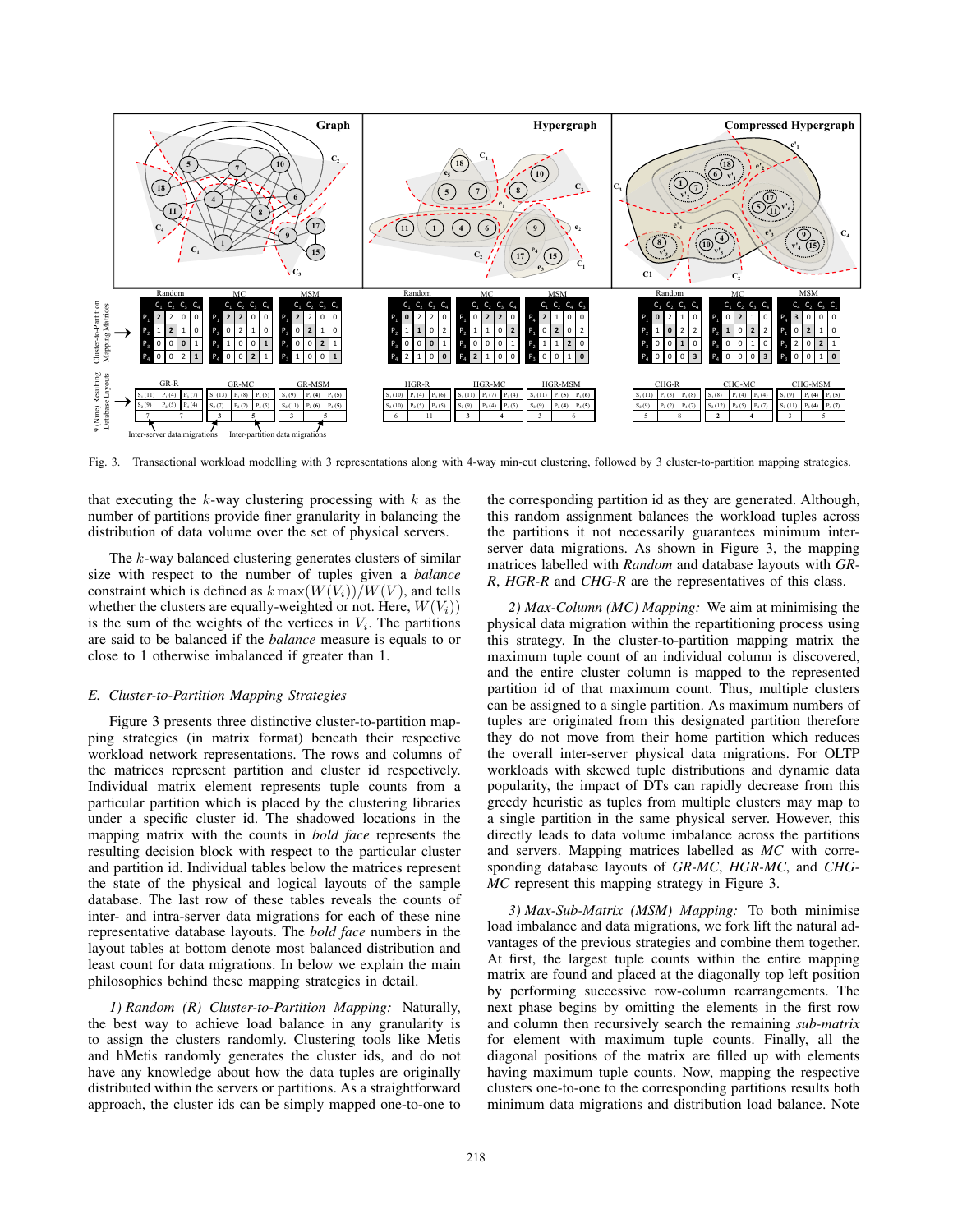

Fig. 3. Transactional workload modelling with 3 representations along with 4-way min-cut clustering, followed by 3 cluster-to-partition mapping strategies.

that executing the  $k$ -way clustering processing with  $k$  as the number of partitions provide finer granularity in balancing the distribution of data volume over the set of physical servers.

The k-way balanced clustering generates clusters of similar size with respect to the number of tuples given a *balance* constraint which is defined as  $k \max(W(V_i))/W(V)$ , and tells whether the clusters are equally-weighted or not. Here,  $W(V_i)$ ) is the sum of the weights of the vertices in  $V_i$ . The partitions are said to be balanced if the *balance* measure is equals to or close to 1 otherwise imbalanced if greater than 1.

## *E. Cluster-to-Partition Mapping Strategies*

Figure 3 presents three distinctive cluster-to-partition mapping strategies (in matrix format) beneath their respective workload network representations. The rows and columns of the matrices represent partition and cluster id respectively. Individual matrix element represents tuple counts from a particular partition which is placed by the clustering libraries under a specific cluster id. The shadowed locations in the mapping matrix with the counts in *bold face* represents the resulting decision block with respect to the particular cluster and partition id. Individual tables below the matrices represent the state of the physical and logical layouts of the sample database. The last row of these tables reveals the counts of inter- and intra-server data migrations for each of these nine representative database layouts. The *bold face* numbers in the layout tables at bottom denote most balanced distribution and least count for data migrations. In below we explain the main philosophies behind these mapping strategies in detail.

*1) Random (R) Cluster-to-Partition Mapping:* Naturally, the best way to achieve load balance in any granularity is to assign the clusters randomly. Clustering tools like Metis and hMetis randomly generates the cluster ids, and do not have any knowledge about how the data tuples are originally distributed within the servers or partitions. As a straightforward approach, the cluster ids can be simply mapped one-to-one to

the corresponding partition id as they are generated. Although, this random assignment balances the workload tuples across the partitions it not necessarily guarantees minimum interserver data migrations. As shown in Figure 3, the mapping matrices labelled with *Random* and database layouts with *GR-R*, *HGR-R* and *CHG-R* are the representatives of this class.

*2) Max-Column (MC) Mapping:* We aim at minimising the physical data migration within the repartitioning process using this strategy. In the cluster-to-partition mapping matrix the maximum tuple count of an individual column is discovered, and the entire cluster column is mapped to the represented partition id of that maximum count. Thus, multiple clusters can be assigned to a single partition. As maximum numbers of tuples are originated from this designated partition therefore they do not move from their home partition which reduces the overall inter-server physical data migrations. For OLTP workloads with skewed tuple distributions and dynamic data popularity, the impact of DTs can rapidly decrease from this greedy heuristic as tuples from multiple clusters may map to a single partition in the same physical server. However, this directly leads to data volume imbalance across the partitions and servers. Mapping matrices labelled as *MC* with corresponding database layouts of *GR-MC*, *HGR-MC*, and *CHG-MC* represent this mapping strategy in Figure 3.

*3) Max-Sub-Matrix (MSM) Mapping:* To both minimise load imbalance and data migrations, we fork lift the natural advantages of the previous strategies and combine them together. At first, the largest tuple counts within the entire mapping matrix are found and placed at the diagonally top left position by performing successive row-column rearrangements. The next phase begins by omitting the elements in the first row and column then recursively search the remaining *sub-matrix* for element with maximum tuple counts. Finally, all the diagonal positions of the matrix are filled up with elements having maximum tuple counts. Now, mapping the respective clusters one-to-one to the corresponding partitions results both minimum data migrations and distribution load balance. Note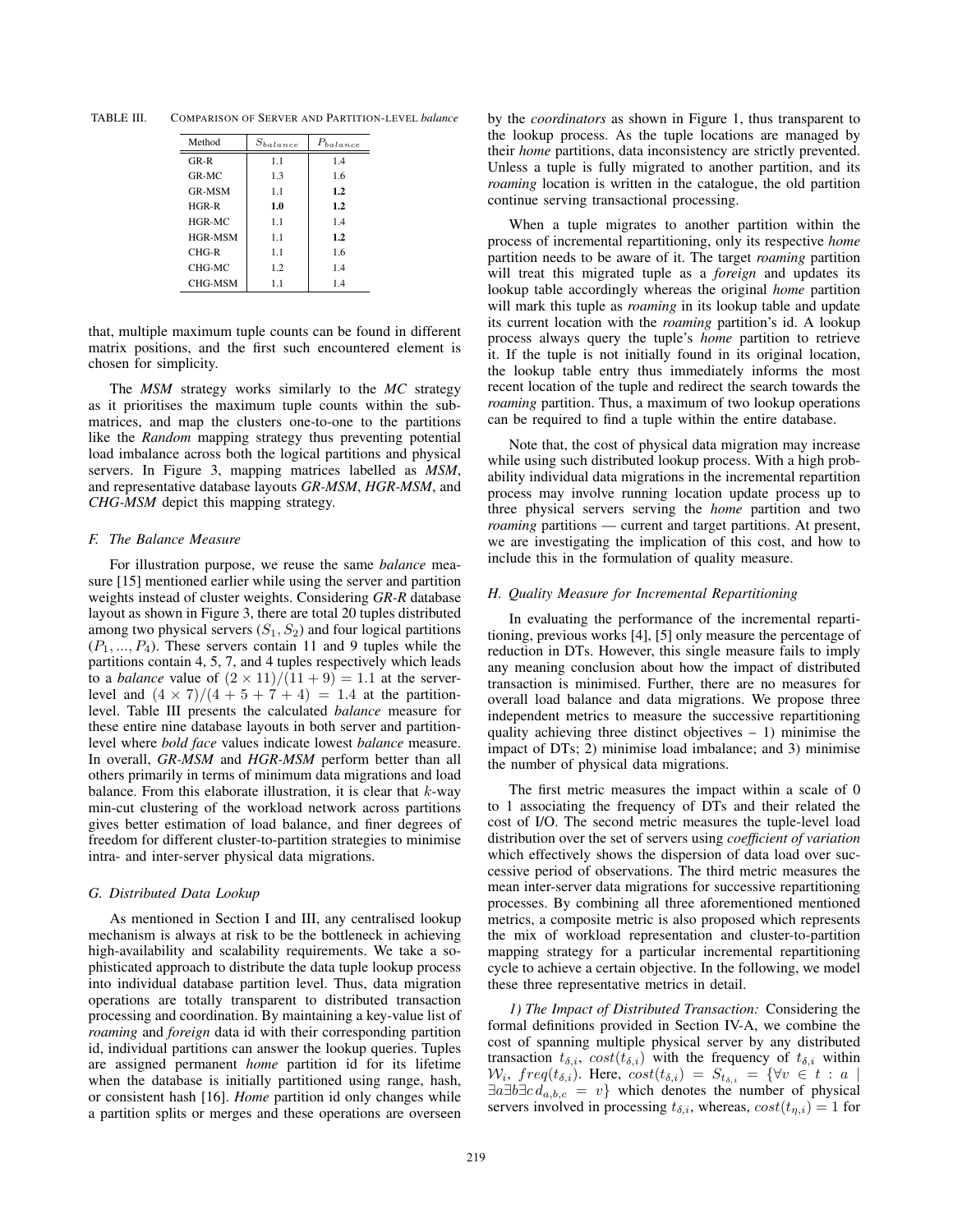TABLE III. COMPARISON OF SERVER AND PARTITION-LEVEL *balance*

| Method         | $S_{balance}$ | $P_{balance}$ |
|----------------|---------------|---------------|
| GR-R           | 1.1           | 1.4           |
| $GR-MC$        | 1.3           | 1.6           |
| <b>GR-MSM</b>  | 1.1           | 1.2           |
| $HGR-R$        | 1.0           | 1.2           |
| $HGR-MC$       | 1.1           | 1.4           |
| <b>HGR-MSM</b> | 1.1           | 1.2           |
| CHG-R          | 1.1           | 1.6           |
| CHG-MC         | 1.2           | 1.4           |
| CHG-MSM        | 1.1           | 1.4           |

that, multiple maximum tuple counts can be found in different matrix positions, and the first such encountered element is chosen for simplicity.

The *MSM* strategy works similarly to the *MC* strategy as it prioritises the maximum tuple counts within the submatrices, and map the clusters one-to-one to the partitions like the *Random* mapping strategy thus preventing potential load imbalance across both the logical partitions and physical servers. In Figure 3, mapping matrices labelled as *MSM*, and representative database layouts *GR-MSM*, *HGR-MSM*, and *CHG-MSM* depict this mapping strategy.

## *F. The Balance Measure*

For illustration purpose, we reuse the same *balance* measure [15] mentioned earlier while using the server and partition weights instead of cluster weights. Considering *GR-R* database layout as shown in Figure 3, there are total 20 tuples distributed among two physical servers  $(S_1, S_2)$  and four logical partitions  $(P_1, ..., P_4)$ . These servers contain 11 and 9 tuples while the partitions contain 4, 5, 7, and 4 tuples respectively which leads to a *balance* value of  $(2 \times 11)/(\overline{11} + 9) = 1.1$  at the serverlevel and  $(4 \times 7)/(4 + 5 + 7 + 4) = 1.4$  at the partitionlevel. Table III presents the calculated *balance* measure for these entire nine database layouts in both server and partitionlevel where *bold face* values indicate lowest *balance* measure. In overall, *GR-MSM* and *HGR-MSM* perform better than all others primarily in terms of minimum data migrations and load balance. From this elaborate illustration, it is clear that  $k$ -way min-cut clustering of the workload network across partitions gives better estimation of load balance, and finer degrees of freedom for different cluster-to-partition strategies to minimise intra- and inter-server physical data migrations.

## *G. Distributed Data Lookup*

As mentioned in Section I and III, any centralised lookup mechanism is always at risk to be the bottleneck in achieving high-availability and scalability requirements. We take a sophisticated approach to distribute the data tuple lookup process into individual database partition level. Thus, data migration operations are totally transparent to distributed transaction processing and coordination. By maintaining a key-value list of *roaming* and *foreign* data id with their corresponding partition id, individual partitions can answer the lookup queries. Tuples are assigned permanent *home* partition id for its lifetime when the database is initially partitioned using range, hash, or consistent hash [16]. *Home* partition id only changes while a partition splits or merges and these operations are overseen

by the *coordinators* as shown in Figure 1, thus transparent to the lookup process. As the tuple locations are managed by their *home* partitions, data inconsistency are strictly prevented. Unless a tuple is fully migrated to another partition, and its *roaming* location is written in the catalogue, the old partition continue serving transactional processing.

When a tuple migrates to another partition within the process of incremental repartitioning, only its respective *home* partition needs to be aware of it. The target *roaming* partition will treat this migrated tuple as a *foreign* and updates its lookup table accordingly whereas the original *home* partition will mark this tuple as *roaming* in its lookup table and update its current location with the *roaming* partition's id. A lookup process always query the tuple's *home* partition to retrieve it. If the tuple is not initially found in its original location, the lookup table entry thus immediately informs the most recent location of the tuple and redirect the search towards the *roaming* partition. Thus, a maximum of two lookup operations can be required to find a tuple within the entire database.

Note that, the cost of physical data migration may increase while using such distributed lookup process. With a high probability individual data migrations in the incremental repartition process may involve running location update process up to three physical servers serving the *home* partition and two *roaming* partitions — current and target partitions. At present, we are investigating the implication of this cost, and how to include this in the formulation of quality measure.

## *H. Quality Measure for Incremental Repartitioning*

In evaluating the performance of the incremental repartitioning, previous works [4], [5] only measure the percentage of reduction in DTs. However, this single measure fails to imply any meaning conclusion about how the impact of distributed transaction is minimised. Further, there are no measures for overall load balance and data migrations. We propose three independent metrics to measure the successive repartitioning quality achieving three distinct objectives  $-1$ ) minimise the impact of DTs; 2) minimise load imbalance; and 3) minimise the number of physical data migrations.

The first metric measures the impact within a scale of 0 to 1 associating the frequency of DTs and their related the cost of I/O. The second metric measures the tuple-level load distribution over the set of servers using *coefficient of variation* which effectively shows the dispersion of data load over successive period of observations. The third metric measures the mean inter-server data migrations for successive repartitioning processes. By combining all three aforementioned mentioned metrics, a composite metric is also proposed which represents the mix of workload representation and cluster-to-partition mapping strategy for a particular incremental repartitioning cycle to achieve a certain objective. In the following, we model these three representative metrics in detail.

*1) The Impact of Distributed Transaction:* Considering the formal definitions provided in Section IV-A, we combine the cost of spanning multiple physical server by any distributed transaction  $t_{\delta,i}$ ,  $cost(t_{\delta,i})$  with the frequency of  $t_{\delta,i}$  within  $W_i$ , freq(t<sub>δ,i</sub>). Here, cost(t<sub>δ,i</sub>) =  $S_{t_{\delta,i}}$  = { $\forall v \in t : a$  $\exists a \exists b \exists c \, d_{a,b,c} = v$ } which denotes the number of physical servers involved in processing  $t_{\delta,i}$ , whereas,  $cost(t_{\eta,i})=1$  for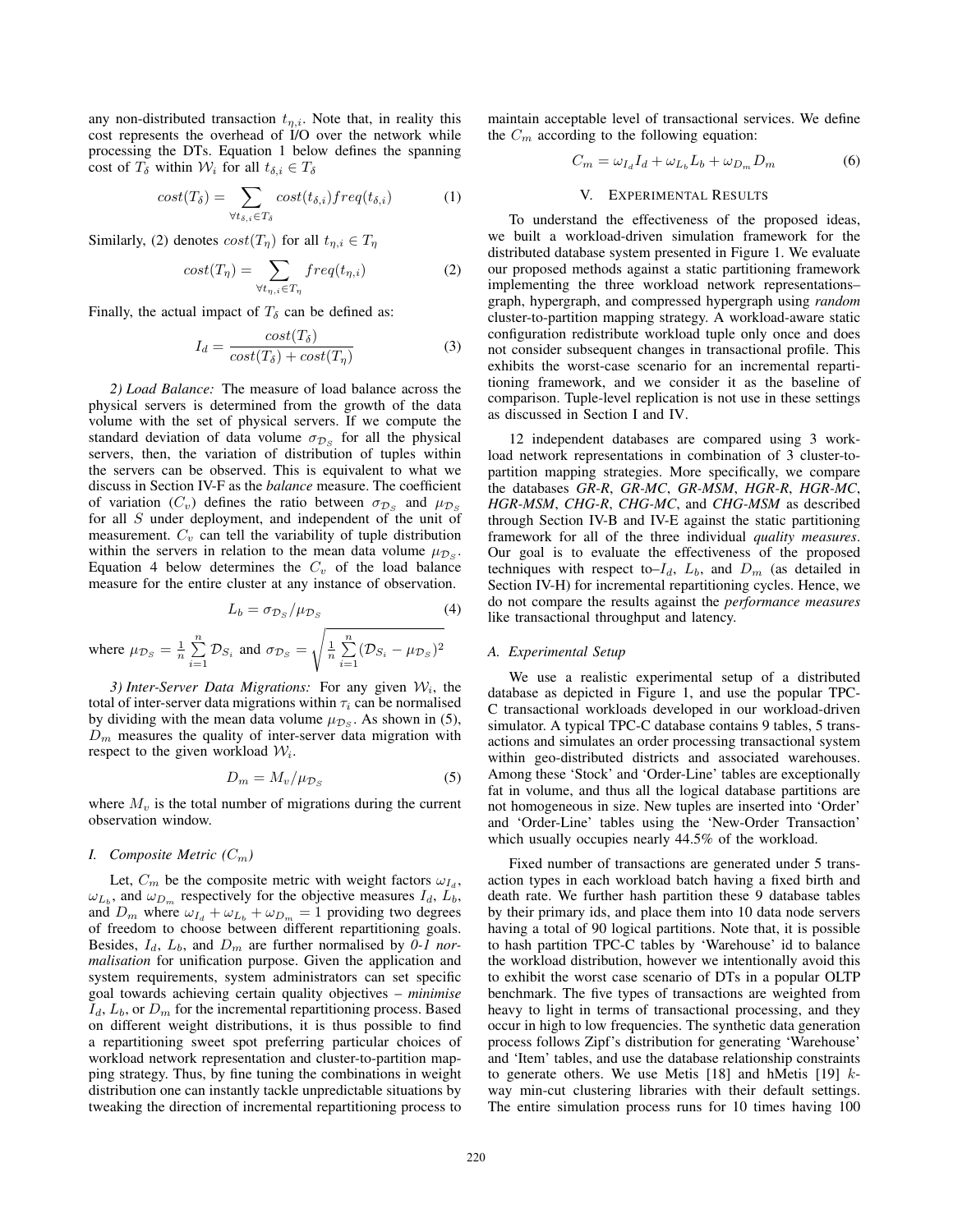any non-distributed transaction  $t_{\eta,i}$ . Note that, in reality this cost represents the overhead of I/O over the network while processing the DTs. Equation 1 below defines the spanning cost of  $T_\delta$  within  $\mathcal{W}_i$  for all  $t_{\delta,i} \in T_\delta$ 

$$
cost(T_{\delta}) = \sum_{\forall t_{\delta,i} \in T_{\delta}} cost(t_{\delta,i}) freq(t_{\delta,i})
$$
 (1)

Similarly, (2) denotes  $cost(T_n)$  for all  $t_{n,i} \in T_n$ 

$$
cost(T_{\eta}) = \sum_{\forall t_{\eta,i} \in T_{\eta}} freq(t_{\eta,i})
$$
\n(2)

Finally, the actual impact of  $T_\delta$  can be defined as:

$$
I_d = \frac{cost(T_\delta)}{cost(T_\delta) + cost(T_\eta)}
$$
(3)

*2) Load Balance:* The measure of load balance across the physical servers is determined from the growth of the data volume with the set of physical servers. If we compute the standard deviation of data volume  $\sigma_{\mathcal{D}_S}$  for all the physical servers, then, the variation of distribution of tuples within the servers can be observed. This is equivalent to what we discuss in Section IV-F as the *balance* measure. The coefficient of variation ( $C_v$ ) defines the ratio between  $\sigma_{\mathcal{D}_S}$  and  $\mu_{\mathcal{D}_S}$ for all S under deployment, and independent of the unit of measurement.  $C_v$  can tell the variability of tuple distribution within the servers in relation to the mean data volume  $\mu_{\mathcal{D}_S}$ . Equation 4 below determines the  $C_v$  of the load balance measure for the entire cluster at any instance of observation.

$$
L_b = \sigma_{\mathcal{D}_S} / \mu_{\mathcal{D}_S} \tag{4}
$$

where 
$$
\mu_{\mathcal{D}_S} = \frac{1}{n} \sum_{i=1}^n \mathcal{D}_{S_i}
$$
 and  $\sigma_{\mathcal{D}_S} = \sqrt{\frac{1}{n} \sum_{i=1}^n (\mathcal{D}_{S_i} - \mu_{\mathcal{D}_S})^2}$ 

*3) Inter-Server Data Migrations:* For any given  $W_i$ , the total of inter-server data migrations within  $\tau_i$  can be normalised by dividing with the mean data volume  $\mu_{\mathcal{D}_S}$ . As shown in (5),  $D_m$  measures the quality of inter-server data migration with respect to the given workload  $W_i$ .

$$
D_m = M_v / \mu_{\mathcal{D}_S} \tag{5}
$$

where  $M_v$  is the total number of migrations during the current observation window.

# *I. Composite Metric*  $(C_m)$

Let,  $C_m$  be the composite metric with weight factors  $\omega_{I_d}$ ,  $\omega_{L_b}$ , and  $\omega_{D_m}$  respectively for the objective measures  $I_d$ ,  $\overline{L_b}$ , and  $D_m$  where  $\omega_{I_d} + \omega_{L_b} + \omega_{D_m} = 1$  providing two degrees of freedom to choose between different repartitioning goals. Besides,  $I_d$ ,  $L_b$ , and  $D_m$  are further normalised by 0-1 nor*malisation* for unification purpose. Given the application and system requirements, system administrators can set specific goal towards achieving certain quality objectives – *minimise*  $I_d$ ,  $L_b$ , or  $D_m$  for the incremental repartitioning process. Based on different weight distributions, it is thus possible to find a repartitioning sweet spot preferring particular choices of workload network representation and cluster-to-partition mapping strategy. Thus, by fine tuning the combinations in weight distribution one can instantly tackle unpredictable situations by tweaking the direction of incremental repartitioning process to

maintain acceptable level of transactional services. We define the  $C_m$  according to the following equation:

$$
C_m = \omega_{I_d} I_d + \omega_{L_b} L_b + \omega_{D_m} D_m \tag{6}
$$

## V. EXPERIMENTAL RESULTS

To understand the effectiveness of the proposed ideas, we built a workload-driven simulation framework for the distributed database system presented in Figure 1. We evaluate our proposed methods against a static partitioning framework implementing the three workload network representations– graph, hypergraph, and compressed hypergraph using *random* cluster-to-partition mapping strategy. A workload-aware static configuration redistribute workload tuple only once and does not consider subsequent changes in transactional profile. This exhibits the worst-case scenario for an incremental repartitioning framework, and we consider it as the baseline of comparison. Tuple-level replication is not use in these settings as discussed in Section I and IV.

12 independent databases are compared using 3 workload network representations in combination of 3 cluster-topartition mapping strategies. More specifically, we compare the databases *GR-R*, *GR-MC*, *GR-MSM*, *HGR-R*, *HGR-MC*, *HGR-MSM*, *CHG-R*, *CHG-MC*, and *CHG-MSM* as described through Section IV-B and IV-E against the static partitioning framework for all of the three individual *quality measures*. Our goal is to evaluate the effectiveness of the proposed techniques with respect to– $I_d$ ,  $L_b$ , and  $D_m$  (as detailed in Section IV-H) for incremental repartitioning cycles. Hence, we do not compare the results against the *performance measures* like transactional throughput and latency.

## *A. Experimental Setup*

We use a realistic experimental setup of a distributed database as depicted in Figure 1, and use the popular TPC-C transactional workloads developed in our workload-driven simulator. A typical TPC-C database contains 9 tables, 5 transactions and simulates an order processing transactional system within geo-distributed districts and associated warehouses. Among these 'Stock' and 'Order-Line' tables are exceptionally fat in volume, and thus all the logical database partitions are not homogeneous in size. New tuples are inserted into 'Order' and 'Order-Line' tables using the 'New-Order Transaction' which usually occupies nearly 44.5% of the workload.

Fixed number of transactions are generated under 5 transaction types in each workload batch having a fixed birth and death rate. We further hash partition these 9 database tables by their primary ids, and place them into 10 data node servers having a total of 90 logical partitions. Note that, it is possible to hash partition TPC-C tables by 'Warehouse' id to balance the workload distribution, however we intentionally avoid this to exhibit the worst case scenario of DTs in a popular OLTP benchmark. The five types of transactions are weighted from heavy to light in terms of transactional processing, and they occur in high to low frequencies. The synthetic data generation process follows Zipf's distribution for generating 'Warehouse' and 'Item' tables, and use the database relationship constraints to generate others. We use Metis [18] and hMetis [19]  $k$ way min-cut clustering libraries with their default settings. The entire simulation process runs for 10 times having 100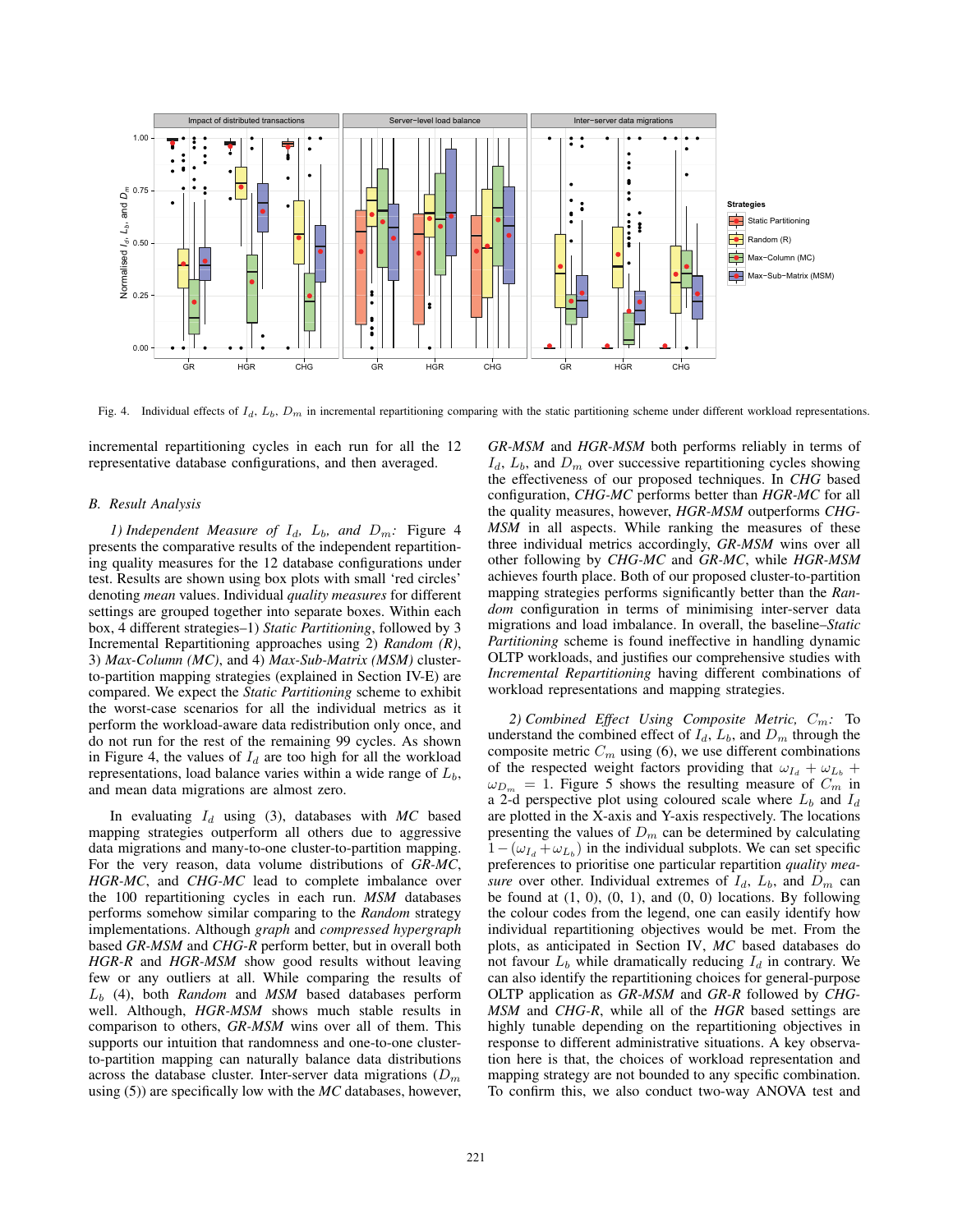

Fig. 4. Individual effects of  $I_d$ ,  $L_b$ ,  $D_m$  in incremental repartitioning comparing with the static partitioning scheme under different workload representations.

incremental repartitioning cycles in each run for all the 12 representative database configurations, and then averaged.

## *B. Result Analysis*

*1) Independent Measure of*  $I_d$ ,  $L_b$ , and  $D_m$ : Figure 4 presents the comparative results of the independent repartitioning quality measures for the 12 database configurations under test. Results are shown using box plots with small 'red circles' denoting *mean* values. Individual *quality measures* for different settings are grouped together into separate boxes. Within each box, 4 different strategies–1) *Static Partitioning*, followed by 3 Incremental Repartitioning approaches using 2) *Random (R)*, 3) *Max-Column (MC)*, and 4) *Max-Sub-Matrix (MSM)* clusterto-partition mapping strategies (explained in Section IV-E) are compared. We expect the *Static Partitioning* scheme to exhibit the worst-case scenarios for all the individual metrics as it perform the workload-aware data redistribution only once, and do not run for the rest of the remaining 99 cycles. As shown in Figure 4, the values of  $I_d$  are too high for all the workload representations, load balance varies within a wide range of  $L<sub>b</sub>$ , and mean data migrations are almost zero.

In evaluating  $I_d$  using (3), databases with  $MC$  based mapping strategies outperform all others due to aggressive data migrations and many-to-one cluster-to-partition mapping. For the very reason, data volume distributions of *GR-MC*, *HGR-MC*, and *CHG-MC* lead to complete imbalance over the 100 repartitioning cycles in each run. *MSM* databases performs somehow similar comparing to the *Random* strategy implementations. Although *graph* and *compressed hypergraph* based *GR-MSM* and *CHG-R* perform better, but in overall both *HGR-R* and *HGR-MSM* show good results without leaving few or any outliers at all. While comparing the results of L<sup>b</sup> (4), both *Random* and *MSM* based databases perform well. Although, *HGR-MSM* shows much stable results in comparison to others, *GR-MSM* wins over all of them. This supports our intuition that randomness and one-to-one clusterto-partition mapping can naturally balance data distributions across the database cluster. Inter-server data migrations  $(D_m)$ using (5)) are specifically low with the *MC* databases, however,

*GR-MSM* and *HGR-MSM* both performs reliably in terms of  $I_d$ ,  $L_b$ , and  $D_m$  over successive repartitioning cycles showing the effectiveness of our proposed techniques. In *CHG* based configuration, *CHG-MC* performs better than *HGR-MC* for all the quality measures, however, *HGR-MSM* outperforms *CHG-MSM* in all aspects. While ranking the measures of these three individual metrics accordingly, *GR-MSM* wins over all other following by *CHG-MC* and *GR-MC*, while *HGR-MSM* achieves fourth place. Both of our proposed cluster-to-partition mapping strategies performs significantly better than the *Random* configuration in terms of minimising inter-server data migrations and load imbalance. In overall, the baseline–*Static Partitioning* scheme is found ineffective in handling dynamic OLTP workloads, and justifies our comprehensive studies with *Incremental Repartitioning* having different combinations of workload representations and mapping strategies.

*2) Combined Effect Using Composite Metric,* Cm*:* To understand the combined effect of  $I_d$ ,  $L_b$ , and  $D_m$  through the composite metric  $C_m$  using (6), we use different combinations of the respected weight factors providing that  $\omega_{I_d} + \omega_{L_b}$  +  $\omega_{D_m} = 1$ . Figure 5 shows the resulting measure of  $C_m$  in a 2-d perspective plot using coloured scale where  $L_b$  and  $I_d$ are plotted in the X-axis and Y-axis respectively. The locations presenting the values of  $D_m$  can be determined by calculating  $1-(\omega_{Li}+\omega_{Li})$  in the individual subplots. We can set specific preferences to prioritise one particular repartition *quality measure* over other. Individual extremes of  $I_d$ ,  $L_b$ , and  $D_m$  can be found at  $(1, 0)$ ,  $(0, 1)$ , and  $(0, 0)$  locations. By following the colour codes from the legend, one can easily identify how individual repartitioning objectives would be met. From the plots, as anticipated in Section IV, *MC* based databases do not favour  $L_b$  while dramatically reducing  $I_d$  in contrary. We can also identify the repartitioning choices for general-purpose OLTP application as *GR-MSM* and *GR-R* followed by *CHG-MSM* and *CHG-R*, while all of the *HGR* based settings are highly tunable depending on the repartitioning objectives in response to different administrative situations. A key observation here is that, the choices of workload representation and mapping strategy are not bounded to any specific combination. To confirm this, we also conduct two-way ANOVA test and